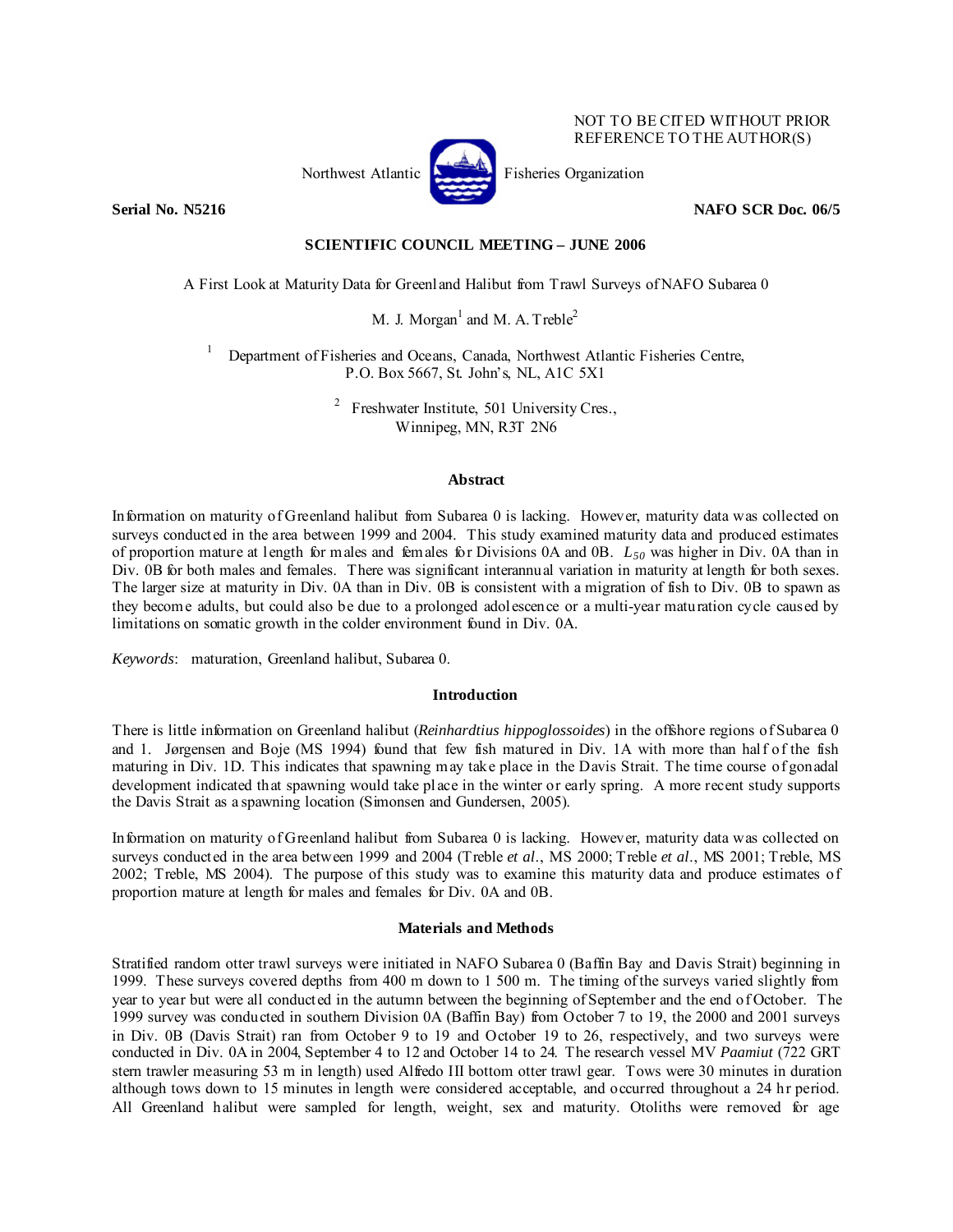

NOT TO BE CITED WITHOUT PRIOR REFERENCE TO THE AUTHOR(S)

## **Serial No. N5216** NAFO SCR Doc. 06/5

# **SCIENTIFIC COUNCIL MEETING – JUNE 2006**

A First Look at Maturity Data for Greenland Halibut from Trawl Surveys of NAFO Subarea 0

M. J. Morgan<sup>1</sup> and M. A. Treble<sup>2</sup>

1 Department of Fisheries and Oceans, Canada, Northwest Atlantic Fisheries Centre, P.O. Box 5667, St. John's, NL, A1C 5X1

> 2 Freshwater Institute, 501 University Cres., Winnipeg, MN, R3T 2N6

#### **Abstract**

Information on maturity of Greenland halibut from Subarea 0 is lacking. However, maturity data was collected on surveys conducted in the area between 1999 and 2004. This study examined maturity data and produced estimates of proportion mature at length for males and females for Divisions 0A and 0B. *L50* was higher in Div. 0A than in Div. 0B for both males and females. There was significant interannual variation in maturity at length for both sexes. The larger size at maturity in Div. 0A than in Div. 0B is consistent with a migration of fish to Div. 0B to spawn as they become adults, but could also be due to a prolonged adolescence or a multi-year maturation cycle caused by limitations on somatic growth in the colder environment found in Div. 0A.

*Keywords*: maturation, Greenland halibut, Subarea 0.

## **Introduction**

There is little information on Greenland halibut (*Reinhardtius hippoglossoides*) in the offshore regions of Subarea 0 and 1. Jørgensen and Boje (MS 1994) found that few fish matured in Div. 1A with more than half of the fish maturing in Div. 1D. This indicates that spawning may take place in the Davis Strait. The time course of gonadal development indicated that spawning would take place in the winter or early spring. A more recent study supports the Davis Strait as a spawning location (Simonsen and Gundersen, 2005).

Information on maturity of Greenland halibut from Subarea 0 is lacking. However, maturity data was collected on surveys conducted in the area between 1999 and 2004 (Treble *et al*., MS 2000; Treble *et al*., MS 2001; Treble, MS 2002; Treble, MS 2004). The purpose of this study was to examine this maturity data and produce estimates of proportion mature at length for males and females for Div. 0A and 0B.

## **Materials and Methods**

Stratified random otter trawl surveys were initiated in NAFO Subarea 0 (Baffin Bay and Davis Strait) beginning in 1999. These surveys covered depths from 400 m down to 1 500 m. The timing of the surveys varied slightly from year to year but were all conducted in the autumn between the beginning of September and the end of October. The 1999 survey was conducted in southern Division 0A (Baffin Bay) from October 7 to 19, the 2000 and 2001 surveys in Div. 0B (Davis Strait) ran from October 9 to 19 and October 19 to 26, respectively, and two surveys were conducted in Div. 0A in 2004, September 4 to 12 and October 14 to 24. The research vessel MV *Paamiut* (722 GRT stern trawler measuring 53 m in length) used Alfredo III bottom otter trawl gear. Tows were 30 minutes in duration although tows down to 15 minutes in length were considered acceptable, and occurred throughout a 24 hr period. All Greenland halibut were sampled for length, weight, sex and maturity. Otoliths were removed for age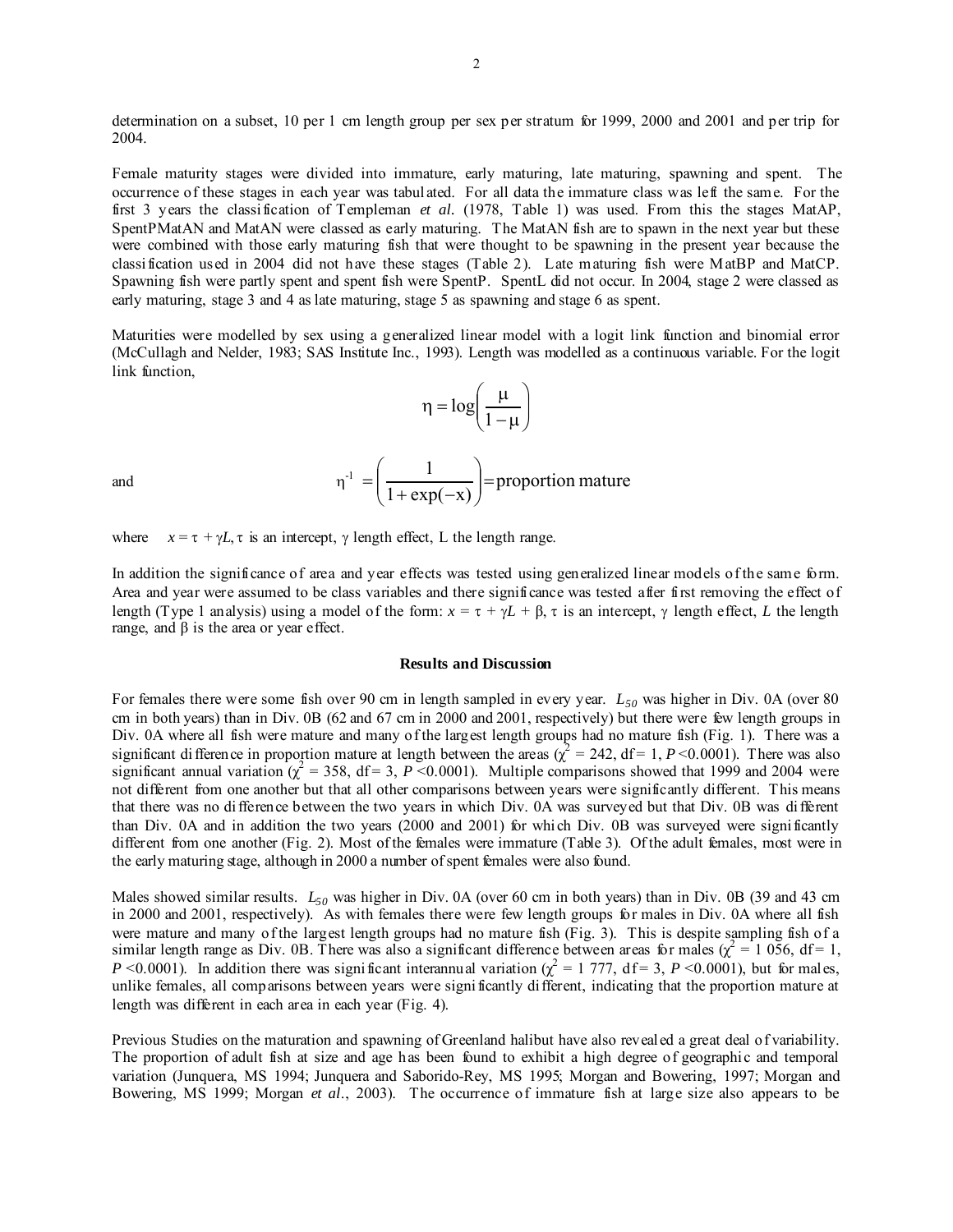determination on a subset, 10 per 1 cm length group per sex per stratum for 1999, 2000 and 2001 and per trip for 2004.

Female maturity stages were divided into immature, early maturing, late maturing, spawning and spent. The occurrence of these stages in each year was tabulated. For all data the immature class was left the same. For the first 3 years the classification of Templeman *et al.* (1978, Table 1) was used. From this the stages MatAP, SpentPMatAN and MatAN were classed as early maturing. The MatAN fish are to spawn in the next year but these were combined with those early maturing fish that were thought to be spawning in the present year because the classification used in 2004 did not have these stages (Table 2). Late maturing fish were MatBP and MatCP. Spawning fish were partly spent and spent fish were SpentP. SpentL did not occur. In 2004, stage 2 were classed as early maturing, stage 3 and 4 as late maturing, stage 5 as spawning and stage 6 as spent.

Maturities were modelled by sex using a generalized linear model with a logit link function and binomial error (McCullagh and Nelder, 1983; SAS Institute Inc., 1993). Length was modelled as a continuous variable. For the logit link function,

$$
\eta = \log\left(\frac{\mu}{1-\mu}\right)
$$

 $\left| \frac{1}{1} \right| = \frac{1}{1}$  = proportion mature

⎠

⎞

 $\frac{1}{1 + \exp(-x)}$  =

and η

where  $x = \tau + \gamma L$ ,  $\tau$  is an intercept,  $\gamma$  length effect, L the length range.

 $\overline{\phantom{a}}$ ⎝

 $=\left(\frac{1}{1 + \exp(-1)}\right)$ 

 $\sqrt{}$ 

In addition the significance of area and year effects was tested using generalized linear models of the same form. Area and year were assumed to be class variables and there significance was tested after first removing the effect of length (Type 1 analysis) using a model of the form:  $x = \tau + \gamma L + \beta$ ,  $\tau$  is an intercept,  $\gamma$  length effect, *L* the length range, and  $β$  is the area or year effect.

#### **Results and Discussion**

For females there were some fish over 90 cm in length sampled in every year.  $L_{50}$  was higher in Div. 0A (over 80) cm in both years) than in Div. 0B (62 and 67 cm in 2000 and 2001, respectively) but there were few length groups in Div. 0A where all fish were mature and many of the largest length groups had no mature fish (Fig. 1). There was a significant difference in proportion mature at length between the areas  $\left(\chi^2 = 242, df = 1, P \le 0.0001\right)$ . There was also significant annual variation  $\chi^2 = 358$ , df = 3, *P* <0.0001). Multiple comparisons showed that 1999 and 2004 were not different from one another but that all other comparisons between years were significantly different. This means that there was no difference between the two years in which Div. 0A was surveyed but that Div. 0B was different than Div. 0A and in addition the two years (2000 and 2001) for which Div. 0B was surveyed were significantly different from one another (Fig. 2). Most of the females were immature (Table 3). Of the adult females, most were in the early maturing stage, although in 2000 a number of spent females were also found.

Males showed similar results.  $L_{50}$  was higher in Div. 0A (over 60 cm in both years) than in Div. 0B (39 and 43 cm in 2000 and 2001, respectively). As with females there were few length groups for males in Div. 0A where all fish were mature and many of the largest length groups had no mature fish (Fig. 3). This is despite sampling fish of a similar length range as Div. 0B. There was also a significant difference between areas for males ( $\chi^2$  = 1 056, df = 1, *P* <0.0001). In addition there was significant interannual variation ( $\chi^2$  = 1 777, df = 3, *P* <0.0001), but for males, unlike females, all comparisons between years were significantly different, indicating that the proportion mature at length was different in each area in each year (Fig. 4).

Previous Studies on the maturation and spawning of Greenland halibut have also revealed a great deal of variability. The proportion of adult fish at size and age has been found to exhibit a high degree of geographic and temporal variation (Junquera, MS 1994; Junquera and Saborido-Rey, MS 1995; Morgan and Bowering, 1997; Morgan and Bowering, MS 1999; Morgan *et al*., 2003). The occurrence of immature fish at large size also appears to be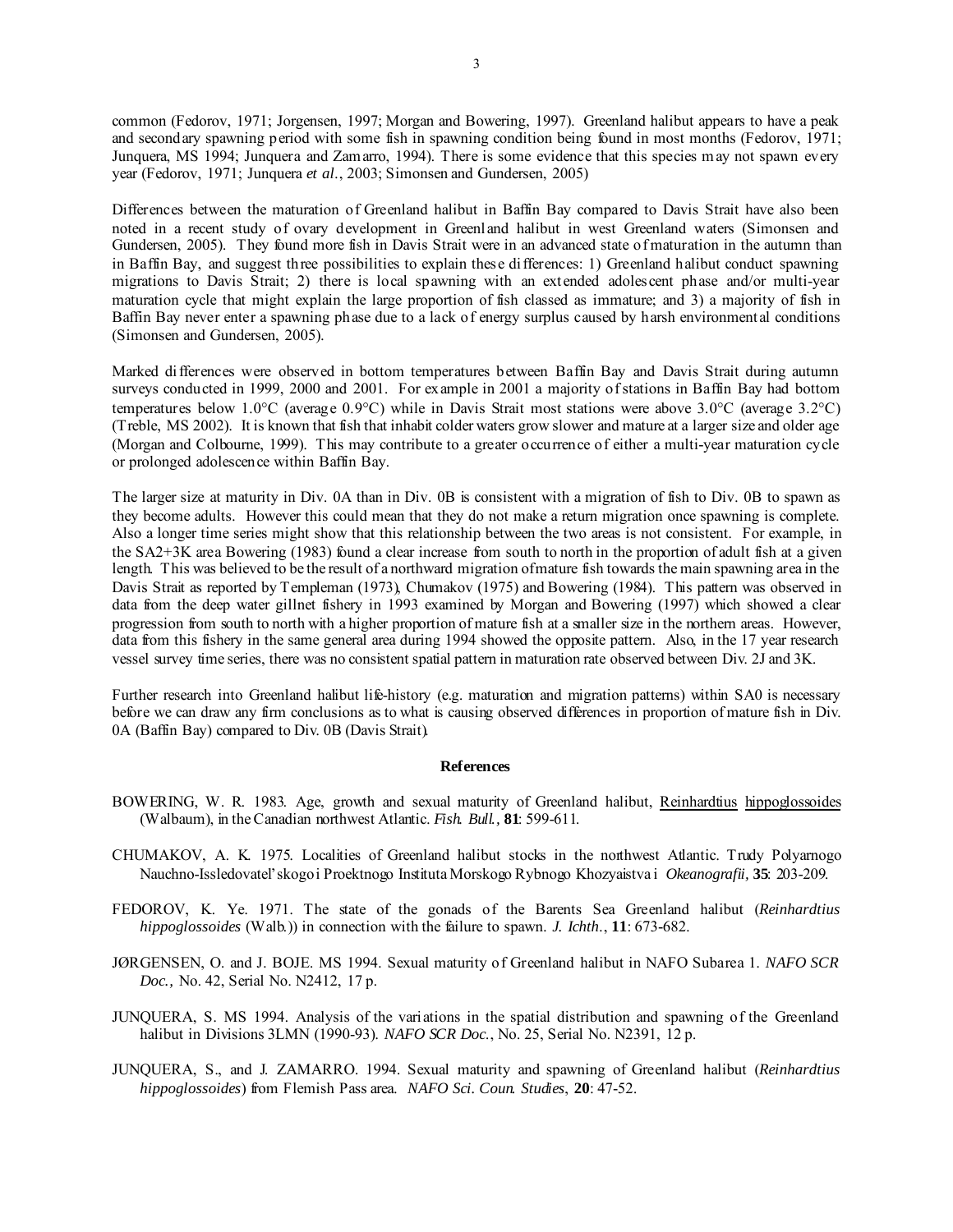common (Fedorov, 1971; Jorgensen, 1997; Morgan and Bowering, 1997). Greenland halibut appears to have a peak and secondary spawning period with some fish in spawning condition being found in most months (Fedorov, 1971; Junquera, MS 1994; Junquera and Zamarro, 1994). There is some evidence that this species may not spawn every year (Fedorov, 1971; Junquera *et al*., 2003; Simonsen and Gundersen, 2005)

Differences between the maturation of Greenland halibut in Baffin Bay compared to Davis Strait have also been noted in a recent study of ovary development in Greenland halibut in west Greenland waters (Simonsen and Gundersen, 2005). They found more fish in Davis Strait were in an advanced state of maturation in the autumn than in Baffin Bay, and suggest three possibilities to explain these differences: 1) Greenland halibut conduct spawning migrations to Davis Strait; 2) there is local spawning with an extended adolescent phase and/or multi-year maturation cycle that might explain the large proportion of fish classed as immature; and 3) a majority of fish in Baffin Bay never enter a spawning phase due to a lack of energy surplus caused by harsh environmental conditions (Simonsen and Gundersen, 2005).

Marked differences were observed in bottom temperatures between Baffin Bay and Davis Strait during autumn surveys conducted in 1999, 2000 and 2001. For example in 2001 a majority of stations in Baffin Bay had bottom temperatures below 1.0°C (average 0.9°C) while in Davis Strait most stations were above 3.0°C (average 3.2°C) (Treble, MS 2002). It is known that fish that inhabit colder waters grow slower and mature at a larger size and older age (Morgan and Colbourne, 1999). This may contribute to a greater occurrence of either a multi-year maturation cycle or prolonged adolescence within Baffin Bay.

The larger size at maturity in Div. 0A than in Div. 0B is consistent with a migration of fish to Div. 0B to spawn as they become adults. However this could mean that they do not make a return migration once spawning is complete. Also a longer time series might show that this relationship between the two areas is not consistent. For example, in the SA2+3K area Bowering (1983) found a clear increase from south to north in the proportion of adult fish at a given length. This was believed to be the result of a northward migration of mature fish towards the main spawning area in the Davis Strait as reported by Templeman (1973), Chumakov (1975) and Bowering (1984). This pattern was observed in data from the deep water gillnet fishery in 1993 examined by Morgan and Bowering (1997) which showed a clear progression from south to north with a higher proportion of mature fish at a smaller size in the northern areas. However, data from this fishery in the same general area during 1994 showed the opposite pattern. Also, in the 17 year research vessel survey time series, there was no consistent spatial pattern in maturation rate observed between Div. 2J and 3K.

Further research into Greenland halibut life-history (e.g. maturation and migration patterns) within SA0 is necessary before we can draw any firm conclusions as to what is causing observed differences in proportion of mature fish in Div. 0A (Baffin Bay) compared to Div. 0B (Davis Strait).

#### **References**

- BOWERING, W. R. 1983. Age, growth and sexual maturity of Greenland halibut, Reinhardtius hippoglossoides (Walbaum), in the Canadian northwest Atlantic. *Fish. Bull.,* **81**: 599-611.
- CHUMAKOV, A. K. 1975. Localities of Greenland halibut stocks in the northwest Atlantic. Trudy Polyarnogo Nauchno-Issledovatel'skogo i Proektnogo Instituta Morskogo Rybnogo Khozyaistva i *Okeanografii,* **35**: 203-209.
- FEDOROV, K. Ye. 1971. The state of the gonads of the Barents Sea Greenland halibut (*Reinhardtius hippoglossoides* (Walb.)) in connection with the failure to spawn. *J. Ichth*., **11**: 673-682.
- JØRGENSEN, O. and J. BOJE. MS 1994. Sexual maturity of Greenland halibut in NAFO Subarea 1. *NAFO SCR Doc.,* No. 42, Serial No. N2412, 17 p.
- JUNQUERA, S. MS 1994. Analysis of the variations in the spatial distribution and spawning of the Greenland halibut in Divisions 3LMN (1990-93). *NAFO SCR Doc*., No. 25, Serial No. N2391, 12 p.
- JUNQUERA, S., and J. ZAMARRO. 1994. Sexual maturity and spawning of Greenland halibut (*Reinhardtius hippoglossoides*) from Flemish Pass area. *NAFO Sci. Coun. Studies*, **20**: 47-52.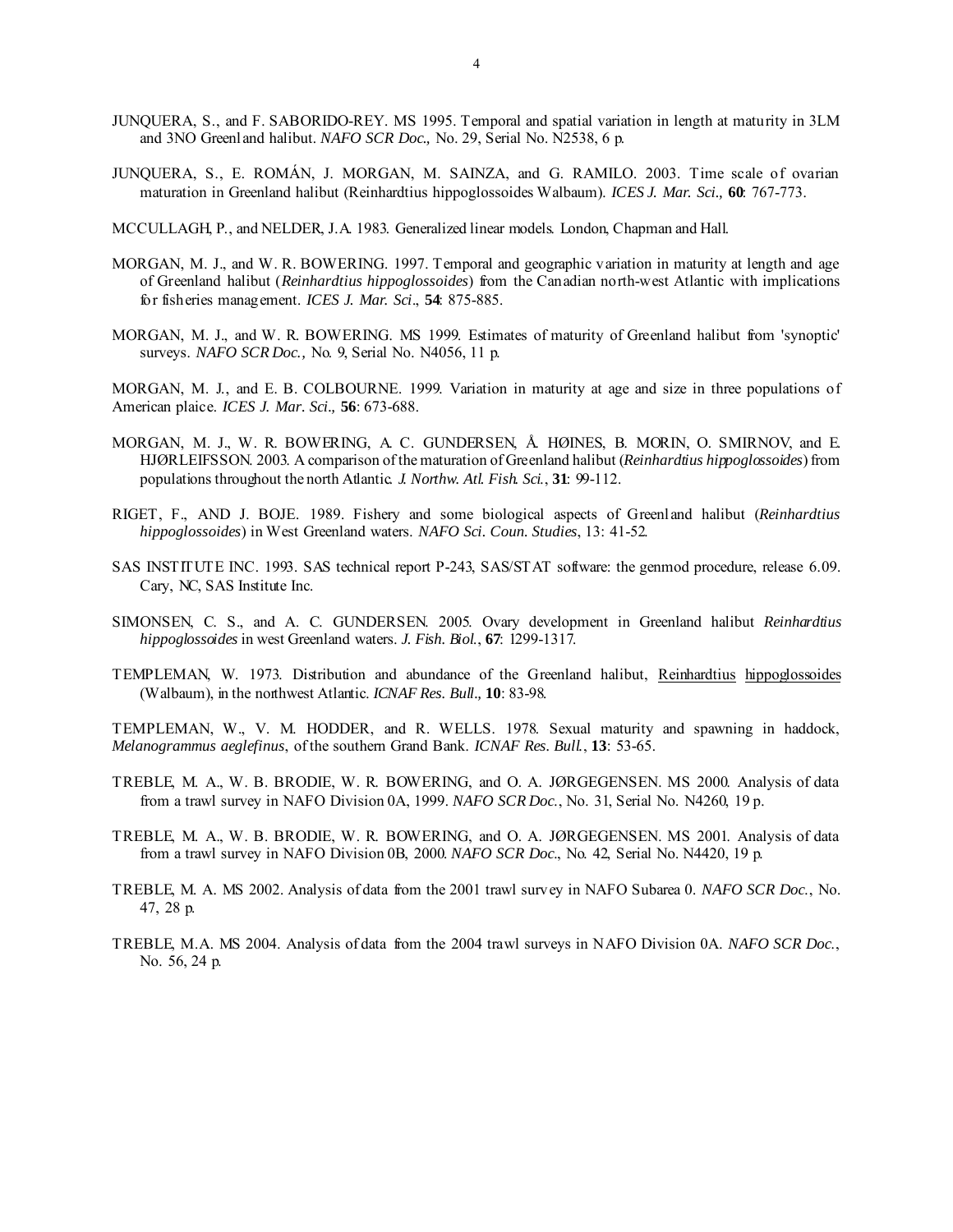- JUNQUERA, S., and F. SABORIDO-REY. MS 1995. Temporal and spatial variation in length at maturity in 3LM and 3NO Greenland halibut. *NAFO SCR Doc.,* No. 29, Serial No. N2538, 6 p.
- JUNQUERA, S., E. ROMÁN, J. MORGAN, M. SAINZA, and G. RAMILO. 2003. Time scale of ovarian maturation in Greenland halibut (Reinhardtius hippoglossoides Walbaum). *ICES J. Mar. Sci.,* **60**: 767-773.
- MCCULLAGH, P., and NELDER, J.A. 1983. Generalized linear models. London, Chapman and Hall.
- MORGAN, M. J., and W. R. BOWERING. 1997. Temporal and geographic variation in maturity at length and age of Greenland halibut (*Reinhardtius hippoglossoides*) from the Canadian north-west Atlantic with implications for fisheries management. *ICES J. Mar. Sci*., **54**: 875-885.
- MORGAN, M. J., and W. R. BOWERING. MS 1999. Estimates of maturity of Greenland halibut from 'synoptic' surveys. *NAFO SCR Doc.,* No. 9, Serial No. N4056, 11 p.

MORGAN, M. J., and E. B. COLBOURNE. 1999. Variation in maturity at age and size in three populations of American plaice. *ICES J. Mar. Sci.,* **56**: 673-688.

- MORGAN, M. J., W. R. BOWERING, A. C. GUNDERSEN, Å. HØINES, B. MORIN, O. SMIRNOV, and E. HJØRLEIFSSON. 2003. A comparison of the maturation of Greenland halibut (*Reinhardtius hippoglossoides*) from populations throughout the north Atlantic. *J. Northw. Atl. Fish. Sci*., **31**: 99-112.
- RIGET, F., AND J. BOJE. 1989. Fishery and some biological aspects of Greenland halibut (*Reinhardtius hippoglossoides*) in West Greenland waters. *NAFO Sci. Coun. Studies*, 13: 41-52.
- SAS INSTITUTE INC. 1993. SAS technical report P-243, SAS/STAT software: the genmod procedure, release 6.09. Cary, NC, SAS Institute Inc.
- SIMONSEN, C. S., and A. C. GUNDERSEN. 2005. Ovary development in Greenland halibut *Reinhardtius hippoglossoides* in west Greenland waters. *J. Fish. Biol*., **67**: 1299-1317.
- TEMPLEMAN, W. 1973. Distribution and abundance of the Greenland halibut, Reinhardtius hippoglossoides (Walbaum), in the northwest Atlantic. *ICNAF Res. Bull.,* **10**: 83-98.

TEMPLEMAN, W., V. M. HODDER, and R. WELLS. 1978. Sexual maturity and spawning in haddock, *Melanogrammus aeglefinus*, of the southern Grand Bank. *ICNAF Res. Bull.*, **13**: 53-65.

- TREBLE, M. A., W. B. BRODIE, W. R. BOWERING, and O. A. JØRGEGENSEN. MS 2000. Analysis of data from a trawl survey in NAFO Division 0A, 1999. *NAFO SCR Doc*., No. 31, Serial No. N4260, 19 p.
- TREBLE, M. A., W. B. BRODIE, W. R. BOWERING, and O. A. JØRGEGENSEN. MS 2001. Analysis of data from a trawl survey in NAFO Division 0B, 2000. *NAFO SCR Doc*., No. 42, Serial No. N4420, 19 p.
- TREBLE, M. A. MS 2002. Analysis of data from the 2001 trawl survey in NAFO Subarea 0. *NAFO SCR Doc*., No. 47, 28 p.
- TREBLE, M.A. MS 2004. Analysis of data from the 2004 trawl surveys in NAFO Division 0A. *NAFO SCR Doc*., No. 56, 24 p.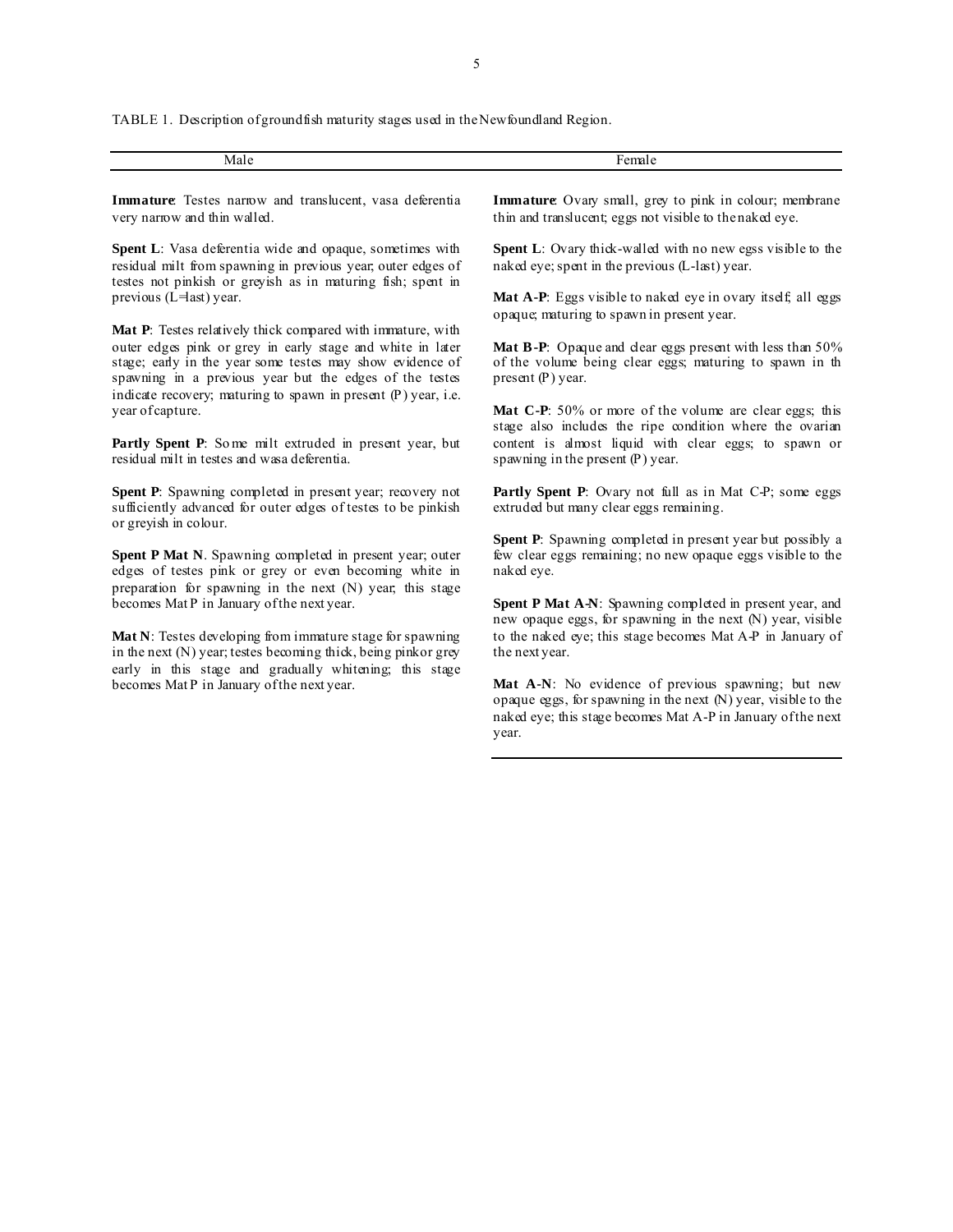TABLE 1. Description of groundfish maturity stages used in the Newfoundland Region.

| Ma. | . . |
|-----|-----|
|     | .   |

**Immature**: Testes narrow and translucent, vasa deferentia very narrow and thin walled.

**Spent L**: Vasa deferentia wide and opaque, sometimes with residual milt from spawning in previous year; outer edges of testes not pinkish or greyish as in maturing fish; spent in previous ( $L =$ last) year.

**Mat P**: Testes relatively thick compared with immature, with outer edges pink or grey in early stage and white in later stage; early in the year some testes may show evidence of spawning in a previous year but the edges of the testes indicate recovery; maturing to spawn in present (P) year, i.e. year of capture.

Partly Spent P: Some milt extruded in present year, but residual milt in testes and wasa deferentia.

**Spent P**: Spawning completed in present year; recovery not sufficiently advanced for outer edges of testes to be pinkish or greyish in colour.

**Spent P Mat N**. Spawning completed in present year; outer edges of testes pink or grey or even becoming white in preparation for spawning in the next (N) year; this stage becomes Mat P in January of the next year.

**Mat N**: Testes developing from immature stage for spawning in the next (N) year; testes becoming thick, being pinkor grey early in this stage and gradually whitening; this stage becomes Mat P in January of the next year.

**Immature**: Ovary small, grey to pink in colour; membrane thin and translucent; eggs not visible to the naked eye.

**Spent L**: Ovary thick-walled with no new egss visible to the naked eye; spent in the previous (L-last) year.

Mat A-P: Eggs visible to naked eye in ovary itself; all eggs opaque; maturing to spawn in present year.

Mat B-P: Opaque and clear eggs present with less than 50% of the volume being clear eggs; maturing to spawn in th present (P) year.

Mat C-P: 50% or more of the volume are clear eggs; this stage also includes the ripe condition where the ovarian content is almost liquid with clear eggs; to spawn or spawning in the present (P) year.

Partly Spent P: Ovary not full as in Mat C-P; some eggs extruded but many clear eggs remaining.

**Spent P**: Spawning completed in present year but possibly a few clear eggs remaining; no new opaque eggs visible to the naked eye.

**Spent P Mat A-N:** Spawning completed in present year, and new opaque eggs, for spawning in the next (N) year, visible to the naked eye; this stage becomes Mat A-P in January of the next year.

**Mat A-N**: No evidence of previous spawning; but new opaque eggs, for spawning in the next (N) year, visible to the naked eye; this stage becomes Mat A-P in January of the next year.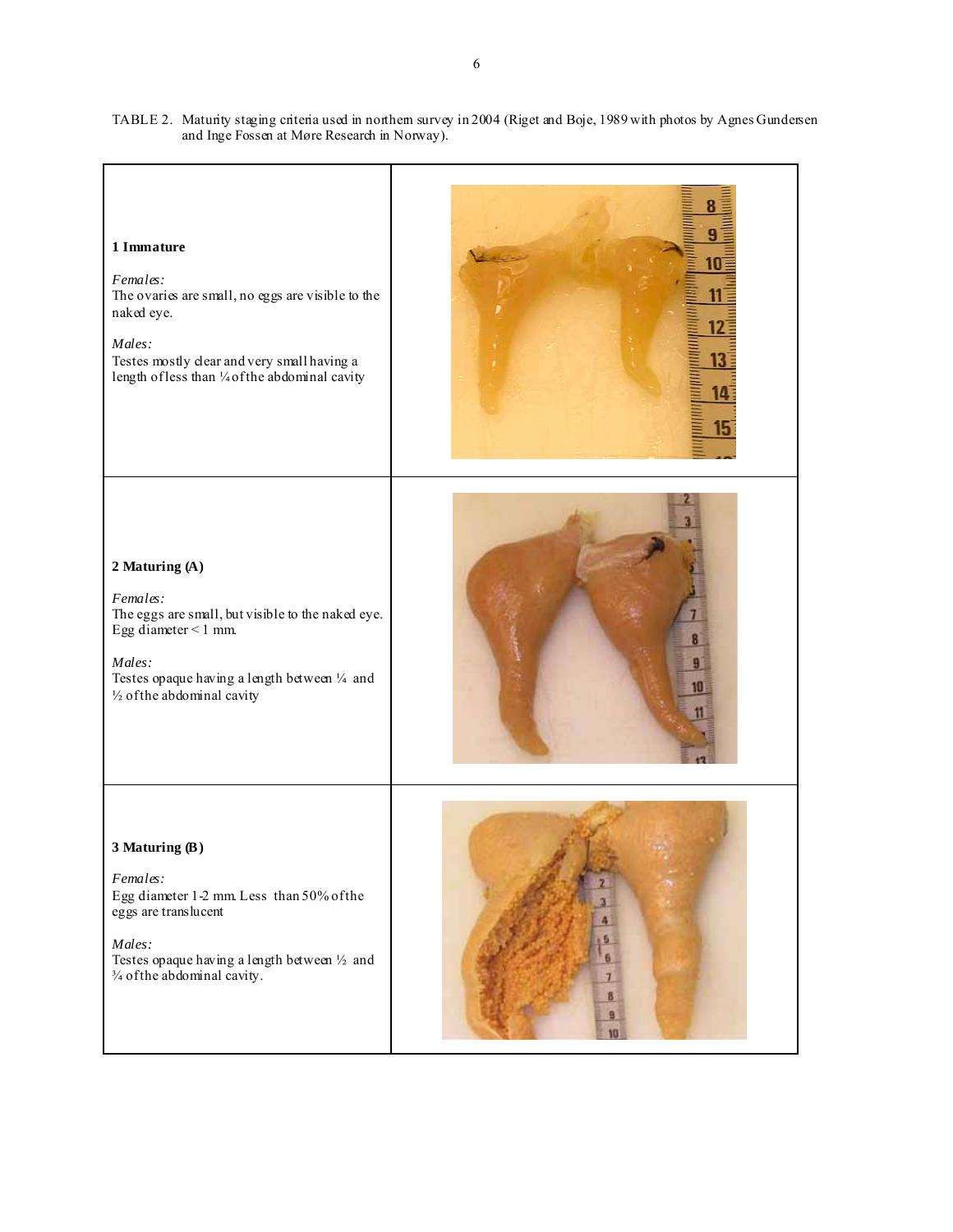

TABLE 2. Maturity staging criteria used in northern survey in 2004 (Riget and Boje, 1989 with photos by Agnes Gundersen and Inge Fossen at Møre Research in Norway).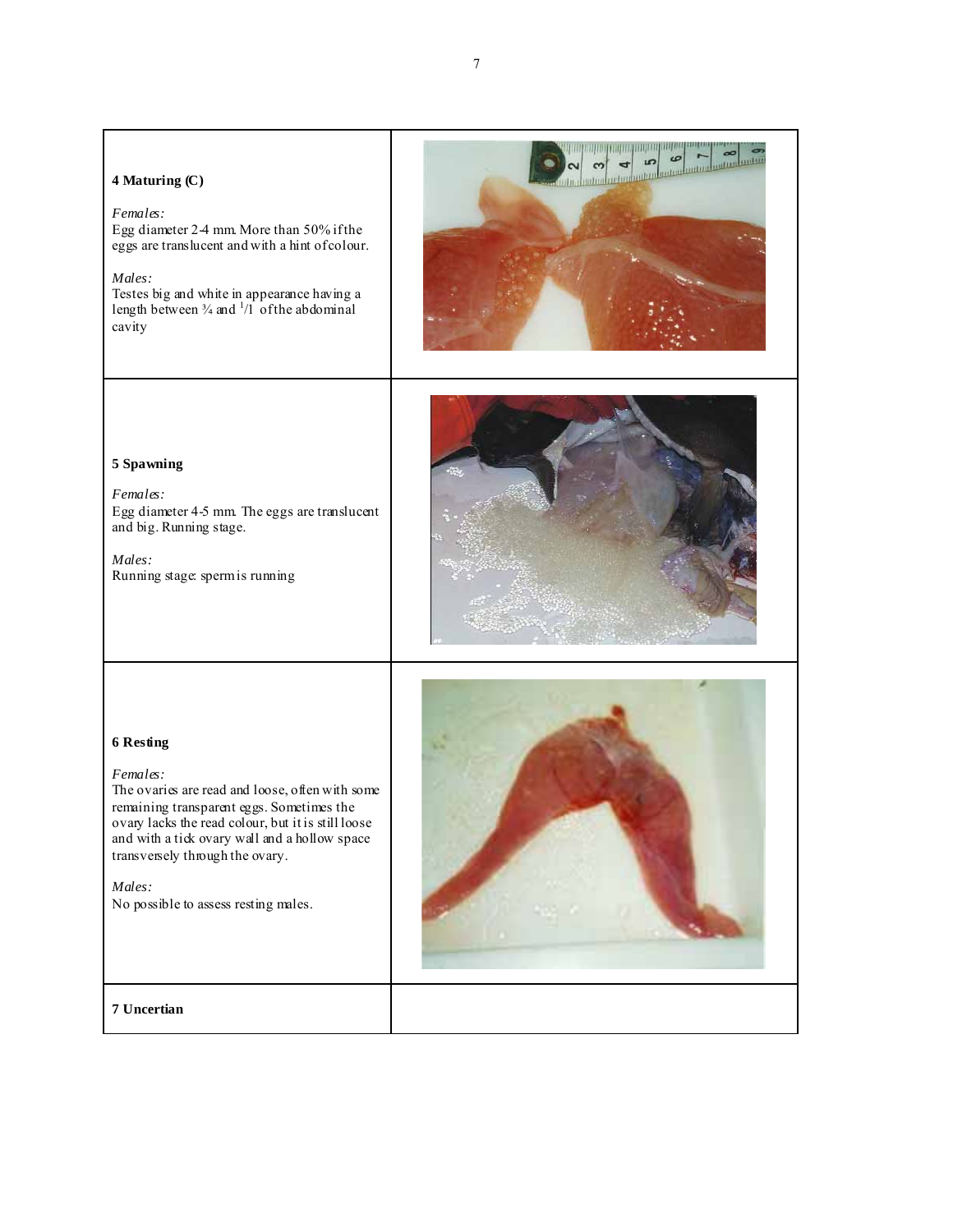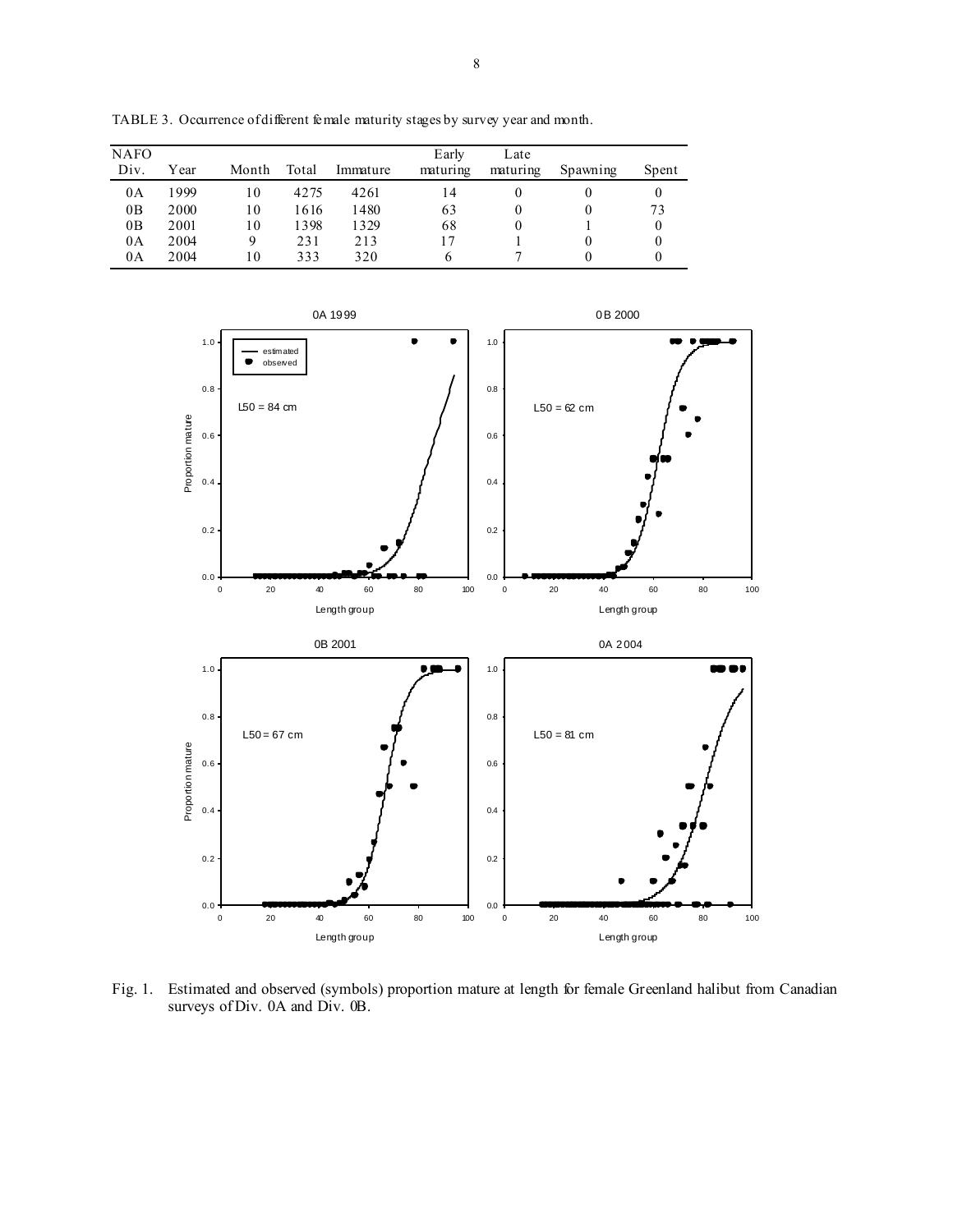| <b>NAFO</b><br>Div. | Year | Month | Total | Immature | Early<br>maturing | Late<br>maturing | Spawning | Spent |
|---------------------|------|-------|-------|----------|-------------------|------------------|----------|-------|
| 0A                  | 1999 | 10    | 4275  | 4261     | 14                |                  |          |       |
| 0B                  | 2000 | 10    | 1616  | 1480     | 63                |                  |          | 73    |
| 0B                  | 2001 | 10    | 1398  | 1329     | 68                |                  |          |       |
| 0A                  | 2004 | 9     | 231   | 213      |                   |                  |          |       |
| 0A                  | 2004 | 10    | 333   | 320      | <sub>b</sub>      |                  |          |       |

TABLE 3. Occurrence of different female maturity stages by survey year and month.



Fig. 1. Estimated and observed (symbols) proportion mature at length for female Greenland halibut from Canadian surveys of Div. 0A and Div. 0B.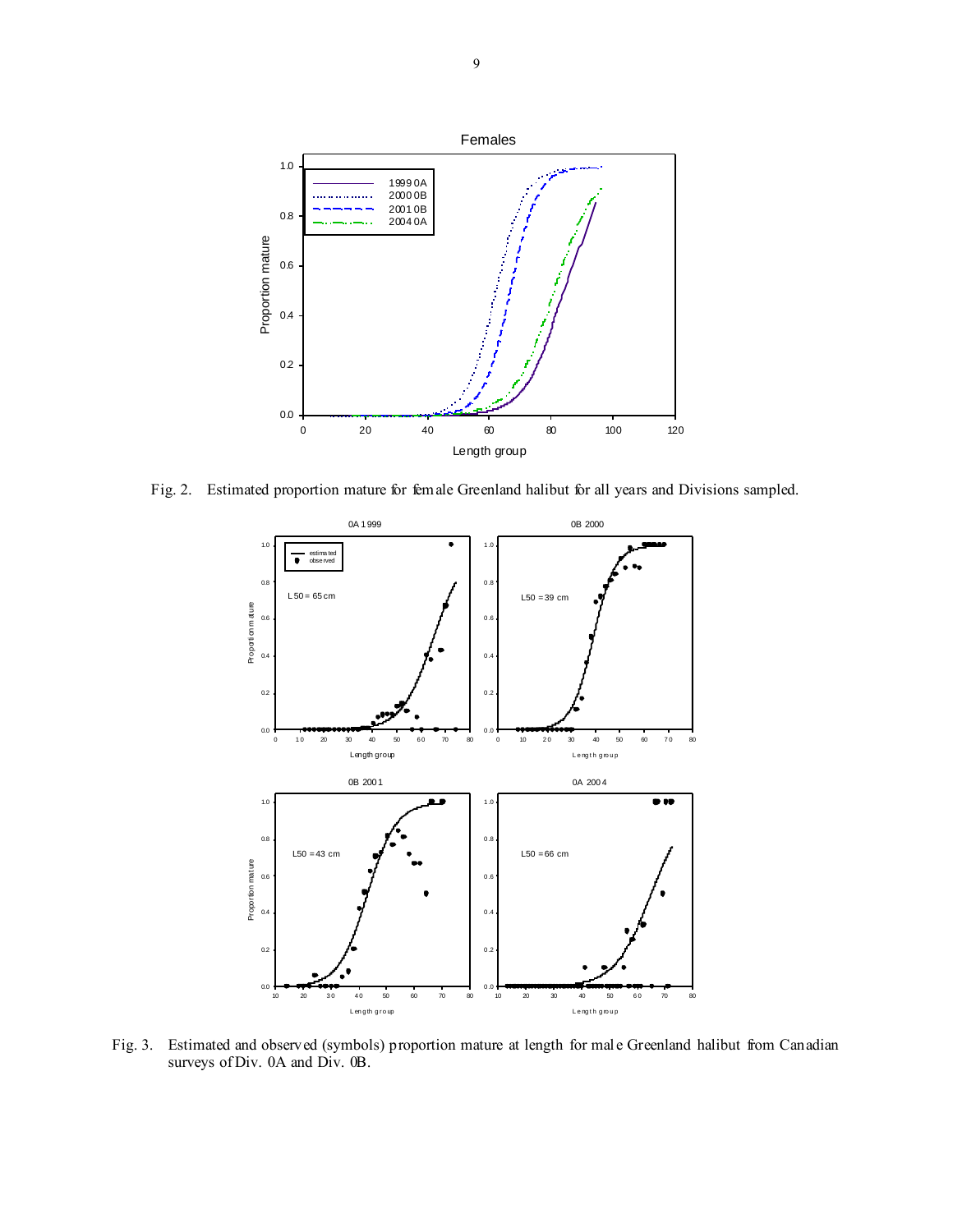

Fig. 2. Estimated proportion mature for female Greenland halibut for all years and Divisions sampled.



Fig. 3. Estimated and observed (symbols) proportion mature at length for male Greenland halibut from Canadian surveys of Div. 0A and Div. 0B.